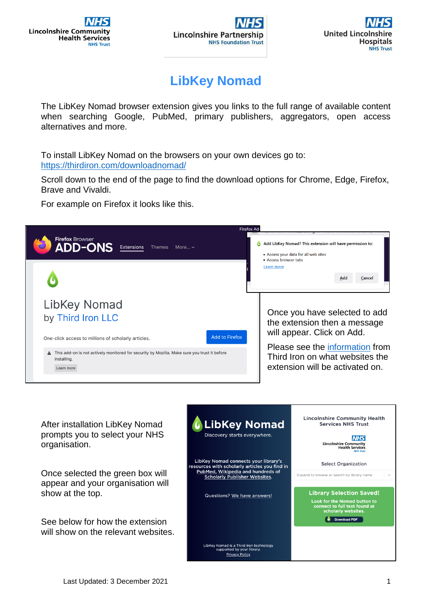

## **LibKey Nomad**

The LibKey Nomad browser extension gives you links to the full range of available content when searching Google, PubMed, primary publishers, aggregators, open access alternatives and more.

To install LibKey Nomad on the browsers on your own devices go to: <https://thirdiron.com/downloadnomad/>

Scroll down to the end of the page to find the download options for Chrome, Edge, Firefox, Brave and Vivaldi.

For example on Firefox it looks like this.



After installation LibKey Nomad prompts you to select your NHS organisation.

Once selected the green box will appear and your organisation will show at the top.

See below for how the extension will show on the relevant websites.